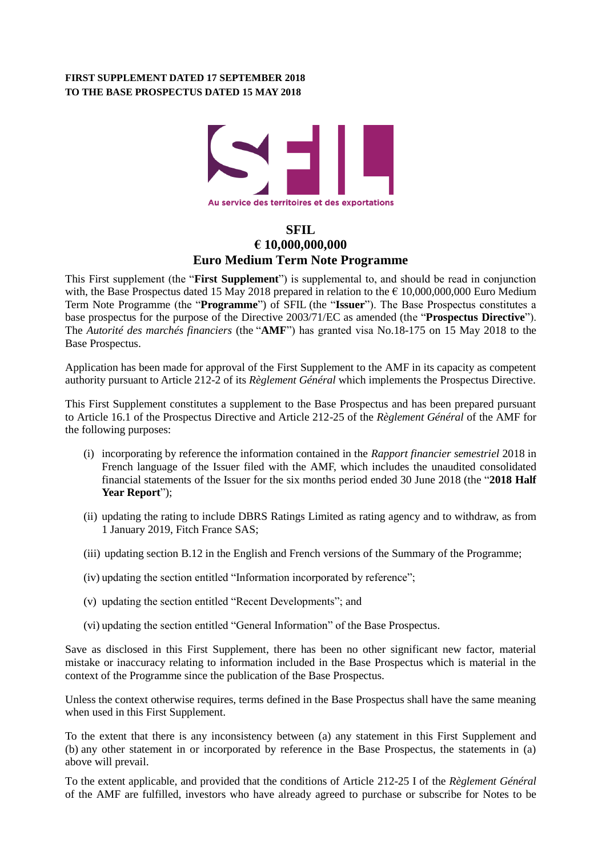## **FIRST SUPPLEMENT DATED 17 SEPTEMBER 2018 TO THE BASE PROSPECTUS DATED 15 MAY 2018**



# **SFIL € 10,000,000,000 Euro Medium Term Note Programme**

This First supplement (the "**First Supplement**") is supplemental to, and should be read in conjunction with, the Base Prospectus dated 15 May 2018 prepared in relation to the  $\epsilon$  10,000,000,000 Euro Medium Term Note Programme (the "**Programme**") of SFIL (the "**Issuer**"). The Base Prospectus constitutes a base prospectus for the purpose of the Directive 2003/71/EC as amended (the "**Prospectus Directive**"). The *Autorité des marchés financiers* (the "**AMF**") has granted visa No.18-175 on 15 May 2018 to the Base Prospectus.

Application has been made for approval of the First Supplement to the AMF in its capacity as competent authority pursuant to Article 212-2 of its *Règlement Général* which implements the Prospectus Directive.

This First Supplement constitutes a supplement to the Base Prospectus and has been prepared pursuant to Article 16.1 of the Prospectus Directive and Article 212-25 of the *Règlement Général* of the AMF for the following purposes:

- (i) incorporating by reference the information contained in the *Rapport financier semestriel* 2018 in French language of the Issuer filed with the AMF, which includes the unaudited consolidated financial statements of the Issuer for the six months period ended 30 June 2018 (the "**2018 Half Year Report**");
- (ii) updating the rating to include DBRS Ratings Limited as rating agency and to withdraw, as from 1 January 2019, Fitch France SAS;
- (iii) updating section B.12 in the English and French versions of the Summary of the Programme;
- (iv) updating the section entitled "Information incorporated by reference";
- (v) updating the section entitled "Recent Developments"; and
- (vi) updating the section entitled "General Information" of the Base Prospectus.

Save as disclosed in this First Supplement, there has been no other significant new factor, material mistake or inaccuracy relating to information included in the Base Prospectus which is material in the context of the Programme since the publication of the Base Prospectus.

Unless the context otherwise requires, terms defined in the Base Prospectus shall have the same meaning when used in this First Supplement.

To the extent that there is any inconsistency between (a) any statement in this First Supplement and (b) any other statement in or incorporated by reference in the Base Prospectus, the statements in (a) above will prevail.

To the extent applicable, and provided that the conditions of Article 212-25 I of the *Règlement Général* of the AMF are fulfilled, investors who have already agreed to purchase or subscribe for Notes to be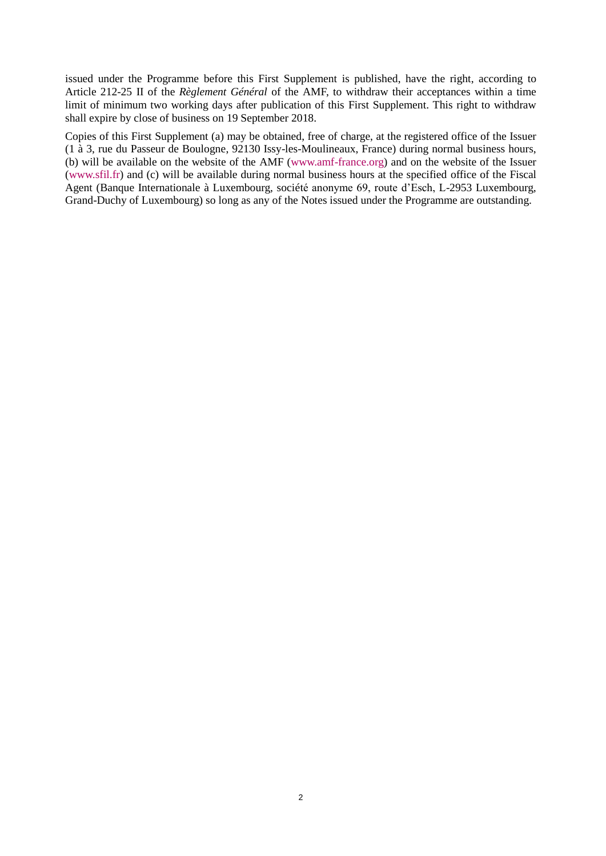issued under the Programme before this First Supplement is published, have the right, according to Article 212-25 II of the *Règlement Général* of the AMF, to withdraw their acceptances within a time limit of minimum two working days after publication of this First Supplement. This right to withdraw shall expire by close of business on 19 September 2018.

Copies of this First Supplement (a) may be obtained, free of charge, at the registered office of the Issuer (1 à 3, rue du Passeur de Boulogne, 92130 Issy-les-Moulineaux, France) during normal business hours, (b) will be available on the website of the AMF [\(www.amf-france.org\)](http://www.amf-france.org/) and on the website of the Issuer (www.sfil.fr) and (c) will be available during normal business hours at the specified office of the Fiscal Agent (Banque Internationale à Luxembourg, société anonyme 69, route d'Esch, L-2953 Luxembourg, Grand-Duchy of Luxembourg) so long as any of the Notes issued under the Programme are outstanding.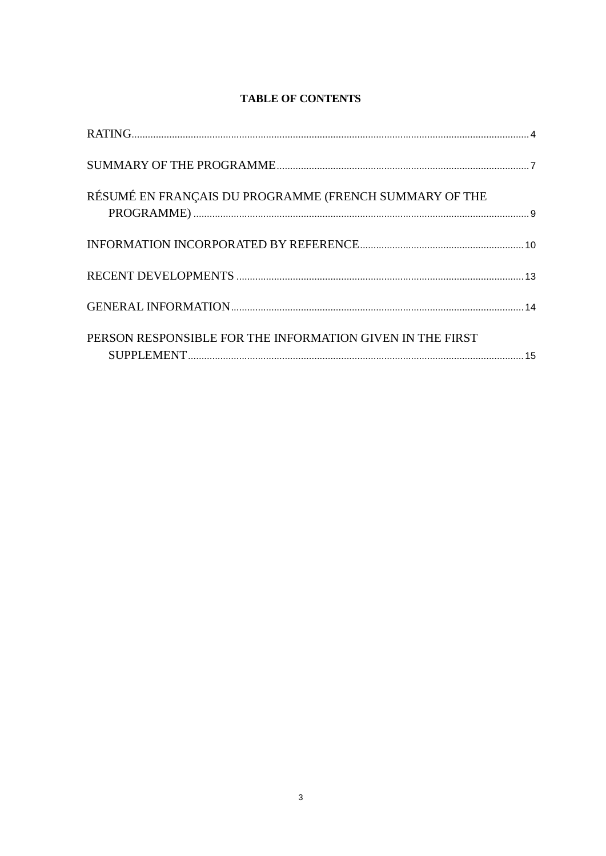# **TABLE OF CONTENTS**

| RÉSUMÉ EN FRANÇAIS DU PROGRAMME (FRENCH SUMMARY OF THE    |  |
|-----------------------------------------------------------|--|
|                                                           |  |
|                                                           |  |
|                                                           |  |
| PERSON RESPONSIBLE FOR THE INFORMATION GIVEN IN THE FIRST |  |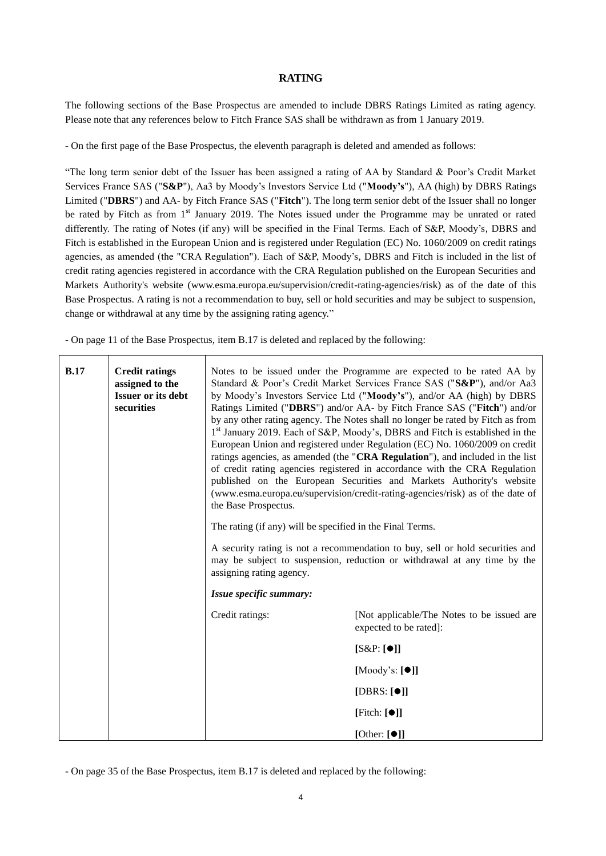### **RATING**

<span id="page-3-0"></span>The following sections of the Base Prospectus are amended to include DBRS Ratings Limited as rating agency. Please note that any references below to Fitch France SAS shall be withdrawn as from 1 January 2019.

- On the first page of the Base Prospectus, the eleventh paragraph is deleted and amended as follows:

"The long term senior debt of the Issuer has been assigned a rating of AA by Standard & Poor's Credit Market Services France SAS ("**S&P**"), Aa3 by Moody's Investors Service Ltd ("**Moody's**"), AA (high) by DBRS Ratings Limited ("**DBRS**") and AA- by Fitch France SAS ("**Fitch**"). The long term senior debt of the Issuer shall no longer be rated by Fitch as from 1<sup>st</sup> January 2019. The Notes issued under the Programme may be unrated or rated differently. The rating of Notes (if any) will be specified in the Final Terms. Each of S&P, Moody's, DBRS and Fitch is established in the European Union and is registered under Regulation (EC) No. 1060/2009 on credit ratings agencies, as amended (the "CRA Regulation"). Each of S&P, Moody's, DBRS and Fitch is included in the list of credit rating agencies registered in accordance with the CRA Regulation published on the European Securities and Markets Authority's website (www.esma.europa.eu/supervision/credit-rating-agencies/risk) as of the date of this Base Prospectus. A rating is not a recommendation to buy, sell or hold securities and may be subject to suspension, change or withdrawal at any time by the assigning rating agency."

- On page 11 of the Base Prospectus, item B.17 is deleted and replaced by the following:

| Credit ratings:<br>[Not applicable/The Notes to be issued are | expected to be rated]: | $[S\&P:[\bullet]]$ | [Moody's: $[\bullet]$ ] | [DBRS: $[①]$ ] | [Fitch: $[①]$ ] | B.17 | <b>Credit ratings</b><br>assigned to the<br><b>Issuer or its debt</b><br>securities | the Base Prospectus.<br>The rating (if any) will be specified in the Final Terms.<br>assigning rating agency.<br>Issue specific summary: | Notes to be issued under the Programme are expected to be rated AA by<br>Standard & Poor's Credit Market Services France SAS ("S&P"), and/or Aa3<br>by Moody's Investors Service Ltd ("Moody's"), and/or AA (high) by DBRS<br>Ratings Limited ("DBRS") and/or AA- by Fitch France SAS ("Fitch") and/or<br>by any other rating agency. The Notes shall no longer be rated by Fitch as from<br>1 <sup>st</sup> January 2019. Each of S&P, Moody's, DBRS and Fitch is established in the<br>European Union and registered under Regulation (EC) No. 1060/2009 on credit<br>ratings agencies, as amended (the "CRA Regulation"), and included in the list<br>of credit rating agencies registered in accordance with the CRA Regulation<br>published on the European Securities and Markets Authority's website<br>(www.esma.europa.eu/supervision/credit-rating-agencies/risk) as of the date of<br>A security rating is not a recommendation to buy, sell or hold securities and<br>may be subject to suspension, reduction or withdrawal at any time by the |
|---------------------------------------------------------------|------------------------|--------------------|-------------------------|----------------|-----------------|------|-------------------------------------------------------------------------------------|------------------------------------------------------------------------------------------------------------------------------------------|------------------------------------------------------------------------------------------------------------------------------------------------------------------------------------------------------------------------------------------------------------------------------------------------------------------------------------------------------------------------------------------------------------------------------------------------------------------------------------------------------------------------------------------------------------------------------------------------------------------------------------------------------------------------------------------------------------------------------------------------------------------------------------------------------------------------------------------------------------------------------------------------------------------------------------------------------------------------------------------------------------------------------------------------------------|
|                                                               |                        |                    |                         |                |                 |      |                                                                                     |                                                                                                                                          |                                                                                                                                                                                                                                                                                                                                                                                                                                                                                                                                                                                                                                                                                                                                                                                                                                                                                                                                                                                                                                                            |

- On page 35 of the Base Prospectus, item B.17 is deleted and replaced by the following: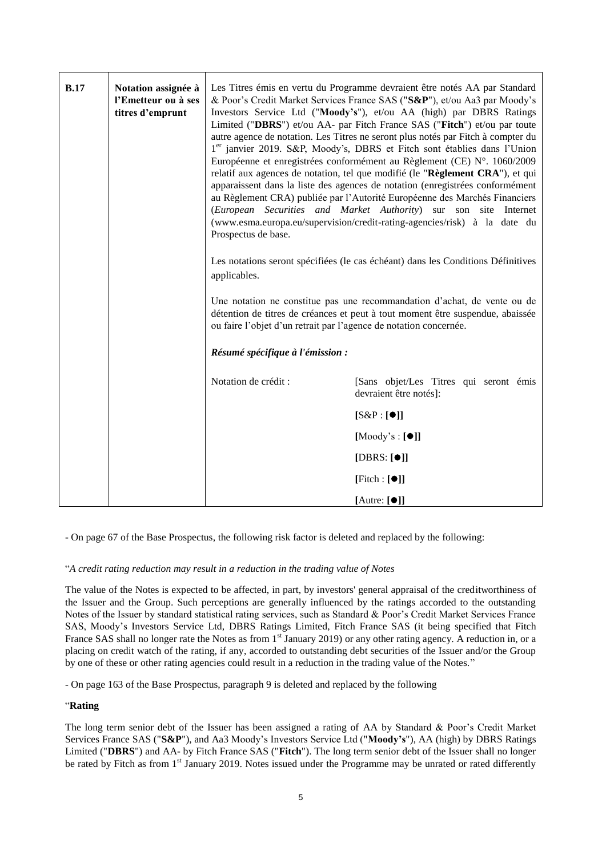| <b>B.17</b> | Notation assignée à<br>l'Emetteur ou à ses<br>titres d'emprunt | Prospectus de base.<br>applicables.                               | Les Titres émis en vertu du Programme devraient être notés AA par Standard<br>& Poor's Credit Market Services France SAS ("S&P"), et/ou Aa3 par Moody's<br>Investors Service Ltd ("Moody's"), et/ou AA (high) par DBRS Ratings<br>Limited ("DBRS") et/ou AA- par Fitch France SAS ("Fitch") et/ou par toute<br>autre agence de notation. Les Titres ne seront plus notés par Fitch à compter du<br>1er janvier 2019. S&P, Moody's, DBRS et Fitch sont établies dans l'Union<br>Européenne et enregistrées conformément au Règlement (CE) N°. 1060/2009<br>relatif aux agences de notation, tel que modifié (le "Règlement CRA"), et qui<br>apparaissent dans la liste des agences de notation (enregistrées conformément<br>au Règlement CRA) publiée par l'Autorité Européenne des Marchés Financiers<br>(European Securities and Market Authority) sur son site Internet<br>(www.esma.europa.eu/supervision/credit-rating-agencies/risk) à la date du<br>Les notations seront spécifiées (le cas échéant) dans les Conditions Définitives<br>Une notation ne constitue pas une recommandation d'achat, de vente ou de<br>détention de titres de créances et peut à tout moment être suspendue, abaissée |
|-------------|----------------------------------------------------------------|-------------------------------------------------------------------|-----------------------------------------------------------------------------------------------------------------------------------------------------------------------------------------------------------------------------------------------------------------------------------------------------------------------------------------------------------------------------------------------------------------------------------------------------------------------------------------------------------------------------------------------------------------------------------------------------------------------------------------------------------------------------------------------------------------------------------------------------------------------------------------------------------------------------------------------------------------------------------------------------------------------------------------------------------------------------------------------------------------------------------------------------------------------------------------------------------------------------------------------------------------------------------------------------------|
|             |                                                                | ou faire l'objet d'un retrait par l'agence de notation concernée. |                                                                                                                                                                                                                                                                                                                                                                                                                                                                                                                                                                                                                                                                                                                                                                                                                                                                                                                                                                                                                                                                                                                                                                                                           |
|             |                                                                | Résumé spécifique à l'émission :                                  |                                                                                                                                                                                                                                                                                                                                                                                                                                                                                                                                                                                                                                                                                                                                                                                                                                                                                                                                                                                                                                                                                                                                                                                                           |
|             |                                                                | Notation de crédit :                                              | [Sans objet/Les Titres qui seront émis<br>devraient être notés]:                                                                                                                                                                                                                                                                                                                                                                                                                                                                                                                                                                                                                                                                                                                                                                                                                                                                                                                                                                                                                                                                                                                                          |
|             |                                                                |                                                                   | $[S\&P:[\bullet]]$                                                                                                                                                                                                                                                                                                                                                                                                                                                                                                                                                                                                                                                                                                                                                                                                                                                                                                                                                                                                                                                                                                                                                                                        |
|             |                                                                |                                                                   | $[Mody's : [\bullet]]$                                                                                                                                                                                                                                                                                                                                                                                                                                                                                                                                                                                                                                                                                                                                                                                                                                                                                                                                                                                                                                                                                                                                                                                    |
|             |                                                                |                                                                   | [DBRS: $[①]$ ]                                                                                                                                                                                                                                                                                                                                                                                                                                                                                                                                                                                                                                                                                                                                                                                                                                                                                                                                                                                                                                                                                                                                                                                            |
|             |                                                                |                                                                   | [Fitch : [① ]]                                                                                                                                                                                                                                                                                                                                                                                                                                                                                                                                                                                                                                                                                                                                                                                                                                                                                                                                                                                                                                                                                                                                                                                            |
|             |                                                                |                                                                   | [Autre: $[①]$ ]                                                                                                                                                                                                                                                                                                                                                                                                                                                                                                                                                                                                                                                                                                                                                                                                                                                                                                                                                                                                                                                                                                                                                                                           |

- On page 67 of the Base Prospectus, the following risk factor is deleted and replaced by the following:

### "*A credit rating reduction may result in a reduction in the trading value of Notes*

The value of the Notes is expected to be affected, in part, by investors' general appraisal of the creditworthiness of the Issuer and the Group. Such perceptions are generally influenced by the ratings accorded to the outstanding Notes of the Issuer by standard statistical rating services, such as Standard & Poor's Credit Market Services France SAS, Moody's Investors Service Ltd, DBRS Ratings Limited, Fitch France SAS (it being specified that Fitch France SAS shall no longer rate the Notes as from 1<sup>st</sup> January 2019) or any other rating agency. A reduction in, or a placing on credit watch of the rating, if any, accorded to outstanding debt securities of the Issuer and/or the Group by one of these or other rating agencies could result in a reduction in the trading value of the Notes."

- On page 163 of the Base Prospectus, paragraph 9 is deleted and replaced by the following

### "**Rating**

The long term senior debt of the Issuer has been assigned a rating of AA by Standard & Poor's Credit Market Services France SAS ("**S&P**"), and Aa3 Moody's Investors Service Ltd ("**Moody's**"), AA (high) by DBRS Ratings Limited ("**DBRS**") and AA- by Fitch France SAS ("**Fitch**"). The long term senior debt of the Issuer shall no longer be rated by Fitch as from 1<sup>st</sup> January 2019. Notes issued under the Programme may be unrated or rated differently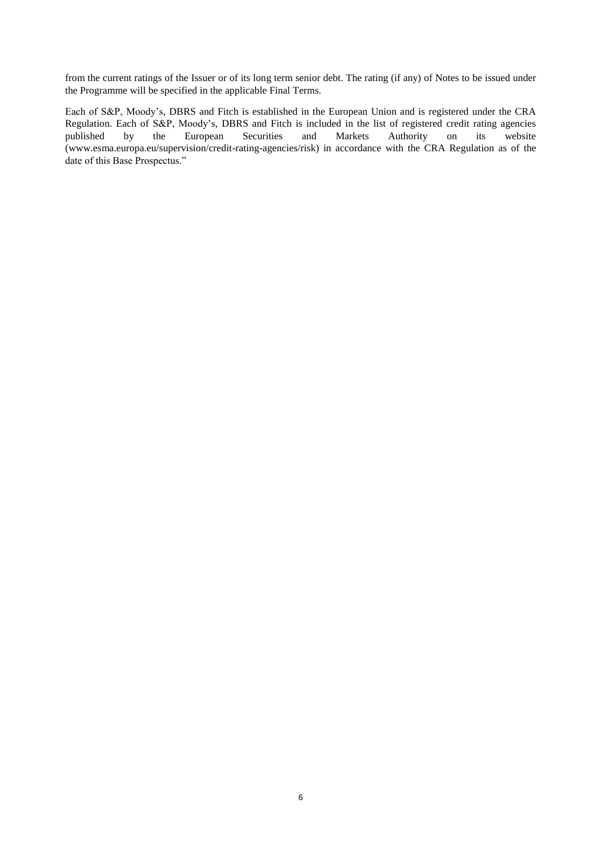from the current ratings of the Issuer or of its long term senior debt. The rating (if any) of Notes to be issued under the Programme will be specified in the applicable Final Terms.

Each of S&P, Moody's, DBRS and Fitch is established in the European Union and is registered under the CRA Regulation. Each of S&P, Moody's, DBRS and Fitch is included in the list of registered credit rating agencies<br>published by the European Securities and Markets Authority on its website published by the European Securities and Markets Authority on its website (www.esma.europa.eu/supervision/credit-rating-agencies/risk) in accordance with the CRA Regulation as of the date of this Base Prospectus."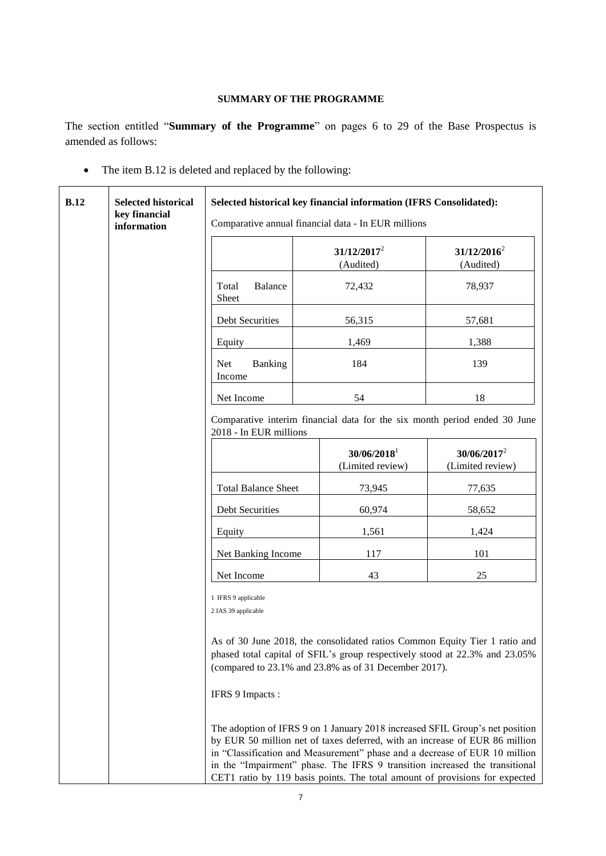## **SUMMARY OF THE PROGRAMME**

<span id="page-6-0"></span>The section entitled "**Summary of the Programme**" on pages 6 to 29 of the Base Prospectus is amended as follows:

• The item B.12 is deleted and replaced by the following:

| B.12 | <b>Selected historical</b><br>key financial |                                            | Selected historical key financial information (IFRS Consolidated):<br>Comparative annual financial data - In EUR millions                                                                                                                                                                                                                                                                               |                                    |
|------|---------------------------------------------|--------------------------------------------|---------------------------------------------------------------------------------------------------------------------------------------------------------------------------------------------------------------------------------------------------------------------------------------------------------------------------------------------------------------------------------------------------------|------------------------------------|
|      | information                                 |                                            | $31/12/2017^2$<br>(Audited)                                                                                                                                                                                                                                                                                                                                                                             | $31/12/2016^2$<br>(Audited)        |
|      |                                             | Total<br>Balance<br>Sheet                  | 72,432                                                                                                                                                                                                                                                                                                                                                                                                  | 78,937                             |
|      |                                             | Debt Securities                            | 56,315                                                                                                                                                                                                                                                                                                                                                                                                  | 57,681                             |
|      |                                             | Equity                                     | 1,469                                                                                                                                                                                                                                                                                                                                                                                                   | 1,388                              |
|      |                                             | <b>Net</b><br>Banking<br>Income            | 184                                                                                                                                                                                                                                                                                                                                                                                                     | 139                                |
|      |                                             | Net Income                                 | 54                                                                                                                                                                                                                                                                                                                                                                                                      | 18                                 |
|      |                                             | 2018 - In EUR millions                     | Comparative interim financial data for the six month period ended 30 June                                                                                                                                                                                                                                                                                                                               |                                    |
|      |                                             |                                            | $30/06/2018$ <sup>1</sup><br>(Limited review)                                                                                                                                                                                                                                                                                                                                                           | $30/06/2017^2$<br>(Limited review) |
|      |                                             | <b>Total Balance Sheet</b>                 | 73,945                                                                                                                                                                                                                                                                                                                                                                                                  | 77,635                             |
|      |                                             | Debt Securities                            | 60,974                                                                                                                                                                                                                                                                                                                                                                                                  | 58,652                             |
|      |                                             | Equity                                     | 1,561                                                                                                                                                                                                                                                                                                                                                                                                   | 1,424                              |
|      |                                             | Net Banking Income                         | 117                                                                                                                                                                                                                                                                                                                                                                                                     | 101                                |
|      |                                             | Net Income                                 | 43                                                                                                                                                                                                                                                                                                                                                                                                      | 25                                 |
|      |                                             | 1 IFRS 9 applicable<br>2 IAS 39 applicable |                                                                                                                                                                                                                                                                                                                                                                                                         |                                    |
|      |                                             |                                            | As of 30 June 2018, the consolidated ratios Common Equity Tier 1 ratio and<br>phased total capital of SFIL's group respectively stood at 22.3% and 23.05%<br>(compared to 23.1% and 23.8% as of 31 December 2017).                                                                                                                                                                                      |                                    |
|      |                                             | IFRS 9 Impacts :                           |                                                                                                                                                                                                                                                                                                                                                                                                         |                                    |
|      |                                             |                                            | The adoption of IFRS 9 on 1 January 2018 increased SFIL Group's net position<br>by EUR 50 million net of taxes deferred, with an increase of EUR 86 million<br>in "Classification and Measurement" phase and a decrease of EUR 10 million<br>in the "Impairment" phase. The IFRS 9 transition increased the transitional<br>CET1 ratio by 119 basis points. The total amount of provisions for expected |                                    |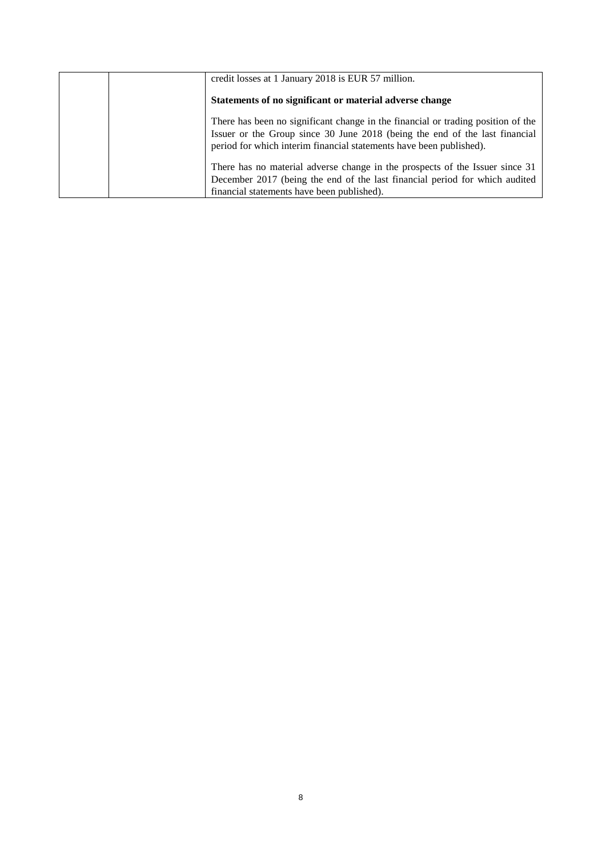| credit losses at 1 January 2018 is EUR 57 million.                                                                                                                                                                                     |
|----------------------------------------------------------------------------------------------------------------------------------------------------------------------------------------------------------------------------------------|
| Statements of no significant or material adverse change                                                                                                                                                                                |
| There has been no significant change in the financial or trading position of the<br>Issuer or the Group since 30 June 2018 (being the end of the last financial<br>period for which interim financial statements have been published). |
| There has no material adverse change in the prospects of the Issuer since 31<br>December 2017 (being the end of the last financial period for which audited<br>financial statements have been published).                              |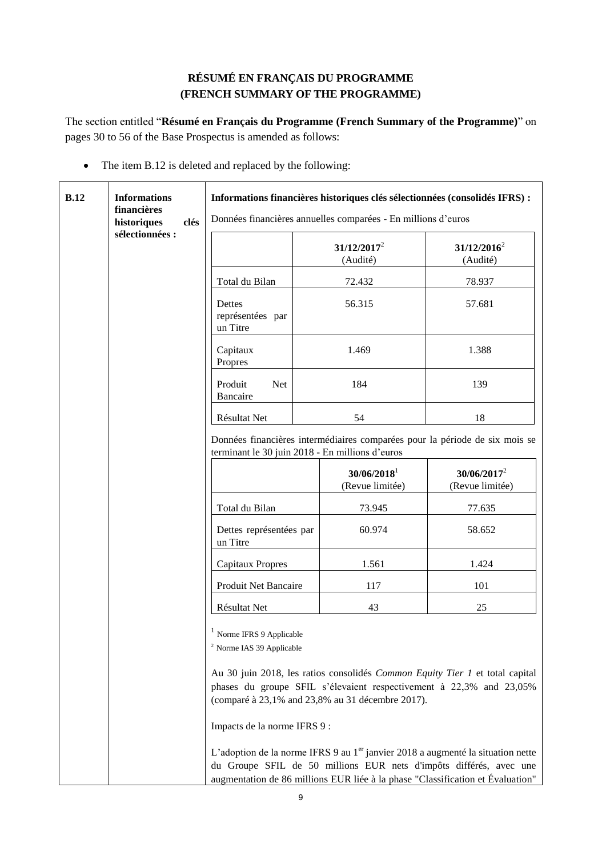# **RÉSUMÉ EN FRANÇAIS DU PROGRAMME (FRENCH SUMMARY OF THE PROGRAMME)**

<span id="page-8-0"></span>The section entitled "**Résumé en Français du Programme (French Summary of the Programme)**" on pages 30 to 56 of the Base Prospectus is amended as follows:

• The item B.12 is deleted and replaced by the following:

| B.12 | <b>Informations</b><br>financières<br>historiques<br>clés |                                                                                                 | Informations financières historiques clés sélectionnées (consolidés IFRS) :<br>Données financières annuelles comparées - En millions d'euros |                                                                                                                                                                                                                                                    |
|------|-----------------------------------------------------------|-------------------------------------------------------------------------------------------------|----------------------------------------------------------------------------------------------------------------------------------------------|----------------------------------------------------------------------------------------------------------------------------------------------------------------------------------------------------------------------------------------------------|
|      | sélectionnées :                                           |                                                                                                 | $31/12/2017^2$<br>(Audité)                                                                                                                   | $31/12/2016^2$<br>(Audité)                                                                                                                                                                                                                         |
|      |                                                           | Total du Bilan                                                                                  | 72.432                                                                                                                                       | 78.937                                                                                                                                                                                                                                             |
|      |                                                           | Dettes<br>représentées par<br>un Titre                                                          | 56.315                                                                                                                                       | 57.681                                                                                                                                                                                                                                             |
|      |                                                           | Capitaux<br>Propres                                                                             | 1.469                                                                                                                                        | 1.388                                                                                                                                                                                                                                              |
|      |                                                           | Produit<br><b>Net</b><br><b>Bancaire</b>                                                        | 184                                                                                                                                          | 139                                                                                                                                                                                                                                                |
|      |                                                           | Résultat Net                                                                                    | 54                                                                                                                                           | 18                                                                                                                                                                                                                                                 |
|      |                                                           |                                                                                                 | terminant le 30 juin 2018 - En millions d'euros                                                                                              | Données financières intermédiaires comparées pour la période de six mois se                                                                                                                                                                        |
|      |                                                           |                                                                                                 | $30/06/2018$ <sup>1</sup><br>(Revue limitée)                                                                                                 | $30/06/2017^2$<br>(Revue limitée)                                                                                                                                                                                                                  |
|      |                                                           | Total du Bilan                                                                                  | 73.945                                                                                                                                       | 77.635                                                                                                                                                                                                                                             |
|      |                                                           | Dettes représentées par<br>un Titre                                                             | 60.974                                                                                                                                       | 58.652                                                                                                                                                                                                                                             |
|      |                                                           | <b>Capitaux Propres</b>                                                                         | 1.561                                                                                                                                        | 1.424                                                                                                                                                                                                                                              |
|      |                                                           | Produit Net Bancaire                                                                            | 117                                                                                                                                          | 101                                                                                                                                                                                                                                                |
|      |                                                           | Résultat Net                                                                                    | 43                                                                                                                                           | 25                                                                                                                                                                                                                                                 |
|      |                                                           | Norme IFRS 9 Applicable<br><sup>2</sup> Norme IAS 39 Applicable<br>Impacts de la norme IFRS 9 : | (comparé à 23,1% and 23,8% au 31 décembre 2017).                                                                                             | Au 30 juin 2018, les ratios consolidés Common Equity Tier 1 et total capital<br>phases du groupe SFIL s'élevaient respectivement à 22,3% and 23,05%<br>L'adoption de la norme IFRS 9 au 1 <sup>er</sup> janvier 2018 a augmenté la situation nette |
|      |                                                           |                                                                                                 |                                                                                                                                              | du Groupe SFIL de 50 millions EUR nets d'impôts différés, avec une<br>augmentation de 86 millions EUR liée à la phase "Classification et Évaluation"                                                                                               |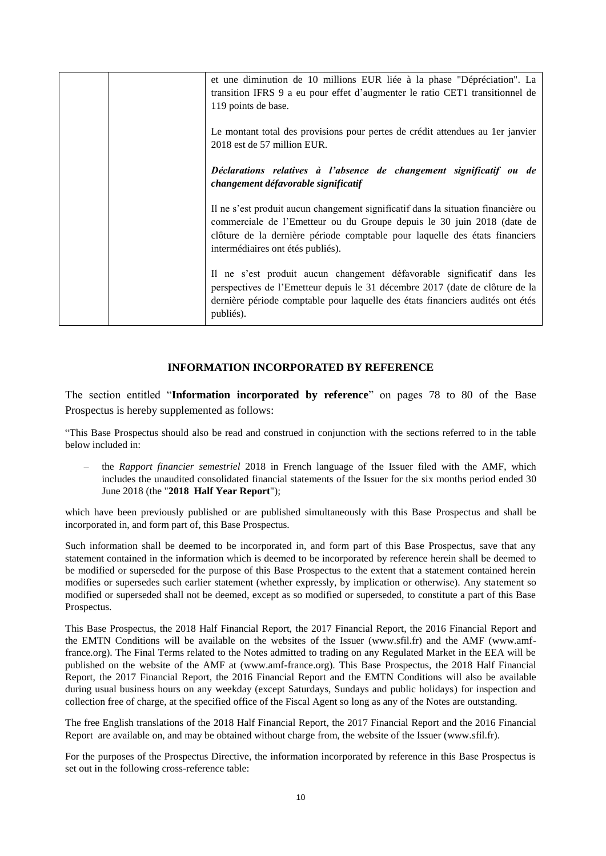|  | et une diminution de 10 millions EUR liée à la phase "Dépréciation". La<br>transition IFRS 9 a eu pour effet d'augmenter le ratio CET1 transitionnel de<br>119 points de base.                                                                                                  |
|--|---------------------------------------------------------------------------------------------------------------------------------------------------------------------------------------------------------------------------------------------------------------------------------|
|  | Le montant total des provisions pour pertes de crédit attendues au 1 er janvier<br>2018 est de 57 million EUR.                                                                                                                                                                  |
|  | Déclarations relatives à l'absence de changement significatif ou de<br>changement défavorable significatif                                                                                                                                                                      |
|  | Il ne s'est produit aucun changement significatif dans la situation financière ou<br>commerciale de l'Emetteur ou du Groupe depuis le 30 juin 2018 (date de<br>clôture de la dernière période comptable pour laquelle des états financiers<br>intermédiaires ont étés publiés). |
|  | Il ne s'est produit aucun changement défavorable significatif dans les<br>perspectives de l'Emetteur depuis le 31 décembre 2017 (date de clôture de la<br>dernière période comptable pour laquelle des états financiers audités ont étés<br>publiés).                           |

### **INFORMATION INCORPORATED BY REFERENCE**

<span id="page-9-0"></span>The section entitled "**Information incorporated by reference**" on pages 78 to 80 of the Base Prospectus is hereby supplemented as follows:

"This Base Prospectus should also be read and construed in conjunction with the sections referred to in the table below included in:

 the *Rapport financier semestriel* 2018 in French language of the Issuer filed with the AMF, which includes the unaudited consolidated financial statements of the Issuer for the six months period ended 30 June 2018 (the "**2018 Half Year Report**");

which have been previously published or are published simultaneously with this Base Prospectus and shall be incorporated in, and form part of, this Base Prospectus.

Such information shall be deemed to be incorporated in, and form part of this Base Prospectus, save that any statement contained in the information which is deemed to be incorporated by reference herein shall be deemed to be modified or superseded for the purpose of this Base Prospectus to the extent that a statement contained herein modifies or supersedes such earlier statement (whether expressly, by implication or otherwise). Any statement so modified or superseded shall not be deemed, except as so modified or superseded, to constitute a part of this Base Prospectus.

This Base Prospectus, the 2018 Half Financial Report, the 2017 Financial Report, the 2016 Financial Report and the EMTN Conditions will be available on the websites of the Issuer (www.sfil.fr) and the AMF (www.amffrance.org). The Final Terms related to the Notes admitted to trading on any Regulated Market in the EEA will be published on the website of the AMF at (www.amf-france.org). This Base Prospectus, the 2018 Half Financial Report, the 2017 Financial Report, the 2016 Financial Report and the EMTN Conditions will also be available during usual business hours on any weekday (except Saturdays, Sundays and public holidays) for inspection and collection free of charge, at the specified office of the Fiscal Agent so long as any of the Notes are outstanding.

The free English translations of the 2018 Half Financial Report, the 2017 Financial Report and the 2016 Financial Report are available on, and may be obtained without charge from, the website of the Issuer (www.sfil.fr).

For the purposes of the Prospectus Directive, the information incorporated by reference in this Base Prospectus is set out in the following cross-reference table: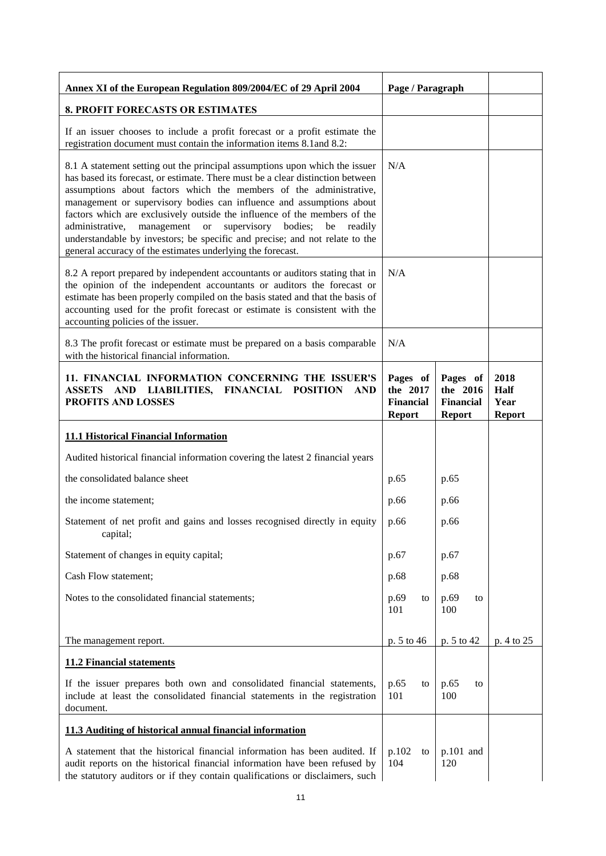| Annex XI of the European Regulation 809/2004/EC of 29 April 2004                                                                                                                                                                                                                                                                                                                                                                                                                                                                                                                                            | Page / Paragraph                                          |                                                           |                                       |
|-------------------------------------------------------------------------------------------------------------------------------------------------------------------------------------------------------------------------------------------------------------------------------------------------------------------------------------------------------------------------------------------------------------------------------------------------------------------------------------------------------------------------------------------------------------------------------------------------------------|-----------------------------------------------------------|-----------------------------------------------------------|---------------------------------------|
| 8. PROFIT FORECASTS OR ESTIMATES                                                                                                                                                                                                                                                                                                                                                                                                                                                                                                                                                                            |                                                           |                                                           |                                       |
| If an issuer chooses to include a profit forecast or a profit estimate the<br>registration document must contain the information items 8.1 and 8.2:                                                                                                                                                                                                                                                                                                                                                                                                                                                         |                                                           |                                                           |                                       |
| 8.1 A statement setting out the principal assumptions upon which the issuer<br>has based its forecast, or estimate. There must be a clear distinction between<br>assumptions about factors which the members of the administrative,<br>management or supervisory bodies can influence and assumptions about<br>factors which are exclusively outside the influence of the members of the<br>management or supervisory bodies; be<br>administrative,<br>readily<br>understandable by investors; be specific and precise; and not relate to the<br>general accuracy of the estimates underlying the forecast. | N/A                                                       |                                                           |                                       |
| 8.2 A report prepared by independent accountants or auditors stating that in<br>the opinion of the independent accountants or auditors the forecast or<br>estimate has been properly compiled on the basis stated and that the basis of<br>accounting used for the profit forecast or estimate is consistent with the<br>accounting policies of the issuer.                                                                                                                                                                                                                                                 | N/A                                                       |                                                           |                                       |
| 8.3 The profit forecast or estimate must be prepared on a basis comparable<br>with the historical financial information.                                                                                                                                                                                                                                                                                                                                                                                                                                                                                    | N/A                                                       |                                                           |                                       |
| 11. FINANCIAL INFORMATION CONCERNING THE ISSUER'S<br>ASSETS AND LIABILITIES, FINANCIAL POSITION<br><b>AND</b><br>PROFITS AND LOSSES                                                                                                                                                                                                                                                                                                                                                                                                                                                                         | Pages of<br>the 2017<br><b>Financial</b><br><b>Report</b> | Pages of<br>the 2016<br><b>Financial</b><br><b>Report</b> | 2018<br>Half<br>Year<br><b>Report</b> |
| <b>11.1 Historical Financial Information</b>                                                                                                                                                                                                                                                                                                                                                                                                                                                                                                                                                                |                                                           |                                                           |                                       |
| Audited historical financial information covering the latest 2 financial years                                                                                                                                                                                                                                                                                                                                                                                                                                                                                                                              |                                                           |                                                           |                                       |
| the consolidated balance sheet                                                                                                                                                                                                                                                                                                                                                                                                                                                                                                                                                                              | p.65                                                      | p.65                                                      |                                       |
| the income statement;                                                                                                                                                                                                                                                                                                                                                                                                                                                                                                                                                                                       | p.66                                                      | p.66                                                      |                                       |
| Statement of net profit and gains and losses recognised directly in equity<br>capital;                                                                                                                                                                                                                                                                                                                                                                                                                                                                                                                      | p.66                                                      | p.66                                                      |                                       |
| Statement of changes in equity capital;                                                                                                                                                                                                                                                                                                                                                                                                                                                                                                                                                                     | p.67                                                      | p.67                                                      |                                       |
| Cash Flow statement;                                                                                                                                                                                                                                                                                                                                                                                                                                                                                                                                                                                        | p.68                                                      | p.68                                                      |                                       |
| Notes to the consolidated financial statements;                                                                                                                                                                                                                                                                                                                                                                                                                                                                                                                                                             | p.69<br>to<br>101                                         | p.69<br>to<br>100                                         |                                       |
| The management report.                                                                                                                                                                                                                                                                                                                                                                                                                                                                                                                                                                                      | p. 5 to 46                                                | p. 5 to 42                                                | p. 4 to 25                            |
| <b>11.2 Financial statements</b>                                                                                                                                                                                                                                                                                                                                                                                                                                                                                                                                                                            |                                                           |                                                           |                                       |
| If the issuer prepares both own and consolidated financial statements,<br>include at least the consolidated financial statements in the registration<br>document.                                                                                                                                                                                                                                                                                                                                                                                                                                           | p.65<br>to<br>101                                         | p.65<br>to<br>100                                         |                                       |
| 11.3 Auditing of historical annual financial information                                                                                                                                                                                                                                                                                                                                                                                                                                                                                                                                                    |                                                           |                                                           |                                       |
| A statement that the historical financial information has been audited. If<br>audit reports on the historical financial information have been refused by<br>the statutory auditors or if they contain qualifications or disclaimers, such                                                                                                                                                                                                                                                                                                                                                                   | p.102<br>to<br>104                                        | $p.101$ and<br>120                                        |                                       |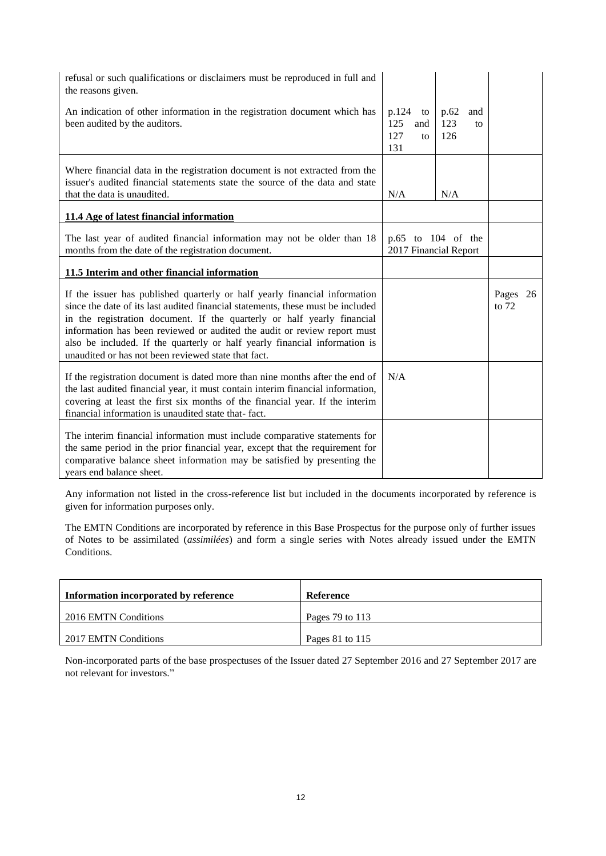| refusal or such qualifications or disclaimers must be reproduced in full and<br>the reasons given.                                                                                                                                                                                                                                                                                                                                                        |                                               |                                 |                     |
|-----------------------------------------------------------------------------------------------------------------------------------------------------------------------------------------------------------------------------------------------------------------------------------------------------------------------------------------------------------------------------------------------------------------------------------------------------------|-----------------------------------------------|---------------------------------|---------------------|
| An indication of other information in the registration document which has<br>been audited by the auditors.                                                                                                                                                                                                                                                                                                                                                | p.124<br>to<br>125<br>and<br>127<br>to<br>131 | p.62<br>and<br>123<br>to<br>126 |                     |
| Where financial data in the registration document is not extracted from the<br>issuer's audited financial statements state the source of the data and state<br>that the data is unaudited.                                                                                                                                                                                                                                                                | N/A                                           | N/A                             |                     |
| 11.4 Age of latest financial information                                                                                                                                                                                                                                                                                                                                                                                                                  |                                               |                                 |                     |
| The last year of audited financial information may not be older than 18<br>months from the date of the registration document.                                                                                                                                                                                                                                                                                                                             | 2017 Financial Report                         | p.65 to 104 of the              |                     |
| 11.5 Interim and other financial information                                                                                                                                                                                                                                                                                                                                                                                                              |                                               |                                 |                     |
| If the issuer has published quarterly or half yearly financial information<br>since the date of its last audited financial statements, these must be included<br>in the registration document. If the quarterly or half yearly financial<br>information has been reviewed or audited the audit or review report must<br>also be included. If the quarterly or half yearly financial information is<br>unaudited or has not been reviewed state that fact. |                                               |                                 | Pages 26<br>to $72$ |
| If the registration document is dated more than nine months after the end of<br>the last audited financial year, it must contain interim financial information,<br>covering at least the first six months of the financial year. If the interim<br>financial information is unaudited state that-fact.                                                                                                                                                    | N/A                                           |                                 |                     |
| The interim financial information must include comparative statements for<br>the same period in the prior financial year, except that the requirement for<br>comparative balance sheet information may be satisfied by presenting the<br>years end balance sheet.                                                                                                                                                                                         |                                               |                                 |                     |

Any information not listed in the cross-reference list but included in the documents incorporated by reference is given for information purposes only.

The EMTN Conditions are incorporated by reference in this Base Prospectus for the purpose only of further issues of Notes to be assimilated (*assimilées*) and form a single series with Notes already issued under the EMTN Conditions.

| Information incorporated by reference | Reference           |
|---------------------------------------|---------------------|
| 2016 EMTN Conditions                  | Pages $79$ to $113$ |
| 2017 EMTN Conditions                  | Pages 81 to $115$   |

Non-incorporated parts of the base prospectuses of the Issuer dated 27 September 2016 and 27 September 2017 are not relevant for investors."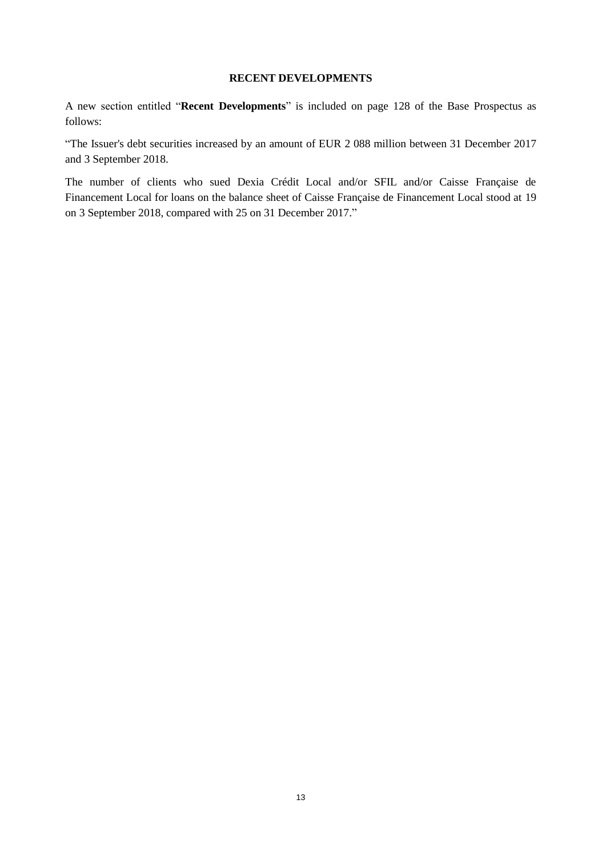## **RECENT DEVELOPMENTS**

<span id="page-12-0"></span>A new section entitled "**Recent Developments**" is included on page 128 of the Base Prospectus as follows:

"The Issuer's debt securities increased by an amount of EUR 2 088 million between 31 December 2017 and 3 September 2018.

The number of clients who sued Dexia Crédit Local and/or SFIL and/or Caisse Française de Financement Local for loans on the balance sheet of Caisse Française de Financement Local stood at 19 on 3 September 2018, compared with 25 on 31 December 2017."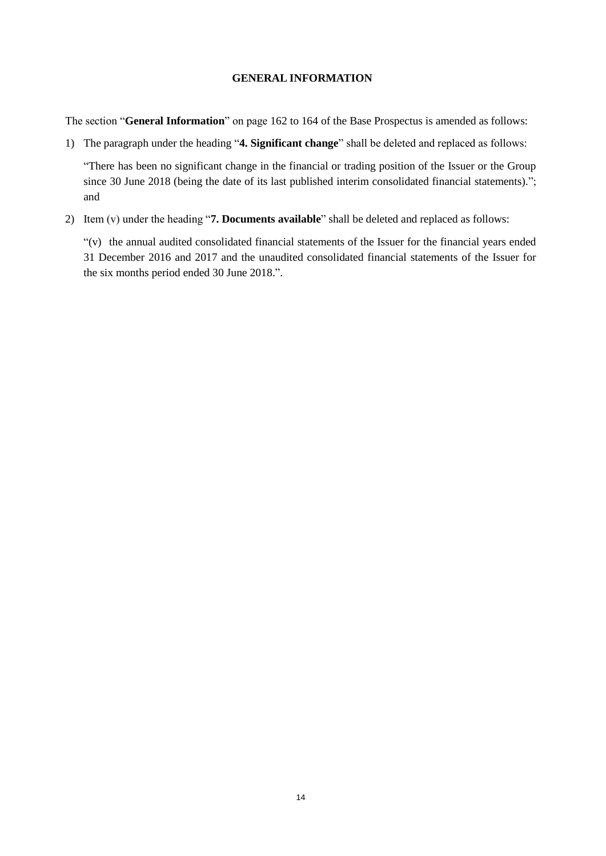### <span id="page-13-0"></span>**GENERAL INFORMATION**

The section "**General Information**" on page 162 to 164 of the Base Prospectus is amended as follows:

1) The paragraph under the heading "**4. Significant change**" shall be deleted and replaced as follows:

"There has been no significant change in the financial or trading position of the Issuer or the Group since 30 June 2018 (being the date of its last published interim consolidated financial statements)."; and

2) Item (v) under the heading "**7. Documents available**" shall be deleted and replaced as follows:

"(v) the annual audited consolidated financial statements of the Issuer for the financial years ended 31 December 2016 and 2017 and the unaudited consolidated financial statements of the Issuer for the six months period ended 30 June 2018.".